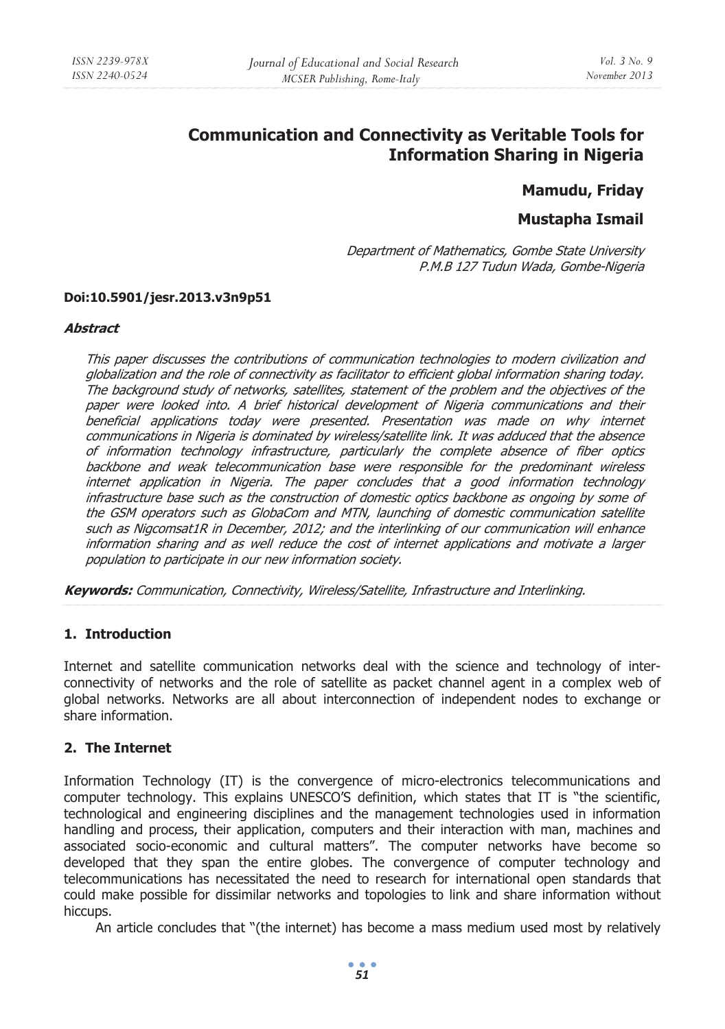# **Communication and Connectivity as Veritable Tools for Information Sharing in Nigeria**

# **Mamudu, Friday**

# **Mustapha Ismail**

Department of Mathematics, Gombe State University P.M.B 127 Tudun Wada, Gombe-Nigeria

#### **Doi:10.5901/jesr.2013.v3n9p51**

#### **Abstract**

This paper discusses the contributions of communication technologies to modern civilization and globalization and the role of connectivity as facilitator to efficient global information sharing today. The background study of networks, satellites, statement of the problem and the objectives of the paper were looked into. A brief historical development of Nigeria communications and their beneficial applications today were presented. Presentation was made on why internet communications in Nigeria is dominated by wireless/satellite link. It was adduced that the absence of information technology infrastructure, particularly the complete absence of fiber optics backbone and weak telecommunication base were responsible for the predominant wireless internet application in Nigeria. The paper concludes that a good information technology infrastructure base such as the construction of domestic optics backbone as ongoing by some of the GSM operators such as GlobaCom and MTN, launching of domestic communication satellite such as Nigcomsat1R in December, 2012; and the interlinking of our communication will enhance information sharing and as well reduce the cost of internet applications and motivate a larger population to participate in our new information society.

**Keywords:** Communication, Connectivity, Wireless/Satellite, Infrastructure and Interlinking.

#### **1. Introduction**

Internet and satellite communication networks deal with the science and technology of interconnectivity of networks and the role of satellite as packet channel agent in a complex web of global networks. Networks are all about interconnection of independent nodes to exchange or share information.

#### **2. The Internet**

Information Technology (IT) is the convergence of micro-electronics telecommunications and computer technology. This explains UNESCO'S definition, which states that IT is "the scientific, technological and engineering disciplines and the management technologies used in information handling and process, their application, computers and their interaction with man, machines and associated socio-economic and cultural matters". The computer networks have become so developed that they span the entire globes. The convergence of computer technology and telecommunications has necessitated the need to research for international open standards that could make possible for dissimilar networks and topologies to link and share information without hiccups.

An article concludes that "(the internet) has become a mass medium used most by relatively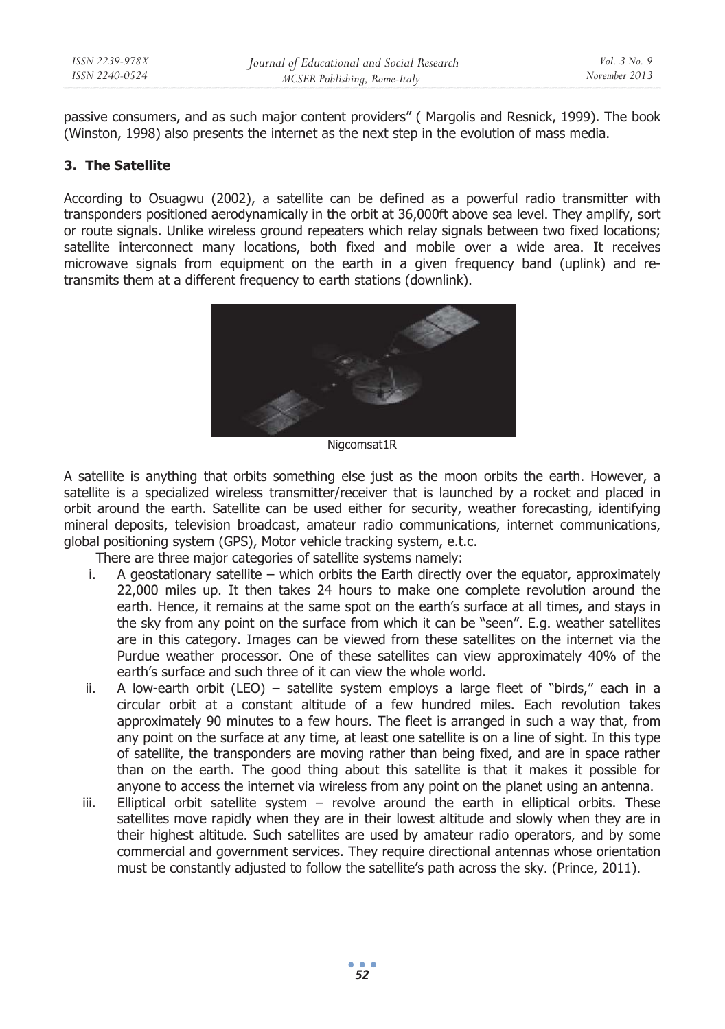passive consumers, and as such major content providers" ( Margolis and Resnick, 1999). The book (Winston, 1998) also presents the internet as the next step in the evolution of mass media.

## **3. The Satellite**

According to Osuagwu (2002), a satellite can be defined as a powerful radio transmitter with transponders positioned aerodynamically in the orbit at 36,000ft above sea level. They amplify, sort or route signals. Unlike wireless ground repeaters which relay signals between two fixed locations; satellite interconnect many locations, both fixed and mobile over a wide area. It receives microwave signals from equipment on the earth in a given frequency band (uplink) and retransmits them at a different frequency to earth stations (downlink).



Nigcomsat1R

A satellite is anything that orbits something else just as the moon orbits the earth. However, a satellite is a specialized wireless transmitter/receiver that is launched by a rocket and placed in orbit around the earth. Satellite can be used either for security, weather forecasting, identifying mineral deposits, television broadcast, amateur radio communications, internet communications, global positioning system (GPS), Motor vehicle tracking system, e.t.c.

There are three major categories of satellite systems namely:

- i. A geostationary satellite which orbits the Earth directly over the equator, approximately 22,000 miles up. It then takes 24 hours to make one complete revolution around the earth. Hence, it remains at the same spot on the earth's surface at all times, and stays in the sky from any point on the surface from which it can be "seen". E.g. weather satellites are in this category. Images can be viewed from these satellites on the internet via the Purdue weather processor. One of these satellites can view approximately 40% of the earth's surface and such three of it can view the whole world.
- ii. A low-earth orbit (LEO) satellite system employs a large fleet of "birds," each in a circular orbit at a constant altitude of a few hundred miles. Each revolution takes approximately 90 minutes to a few hours. The fleet is arranged in such a way that, from any point on the surface at any time, at least one satellite is on a line of sight. In this type of satellite, the transponders are moving rather than being fixed, and are in space rather than on the earth. The good thing about this satellite is that it makes it possible for anyone to access the internet via wireless from any point on the planet using an antenna.
- iii. Elliptical orbit satellite system revolve around the earth in elliptical orbits. These satellites move rapidly when they are in their lowest altitude and slowly when they are in their highest altitude. Such satellites are used by amateur radio operators, and by some commercial and government services. They require directional antennas whose orientation must be constantly adjusted to follow the satellite's path across the sky. (Prince, 2011).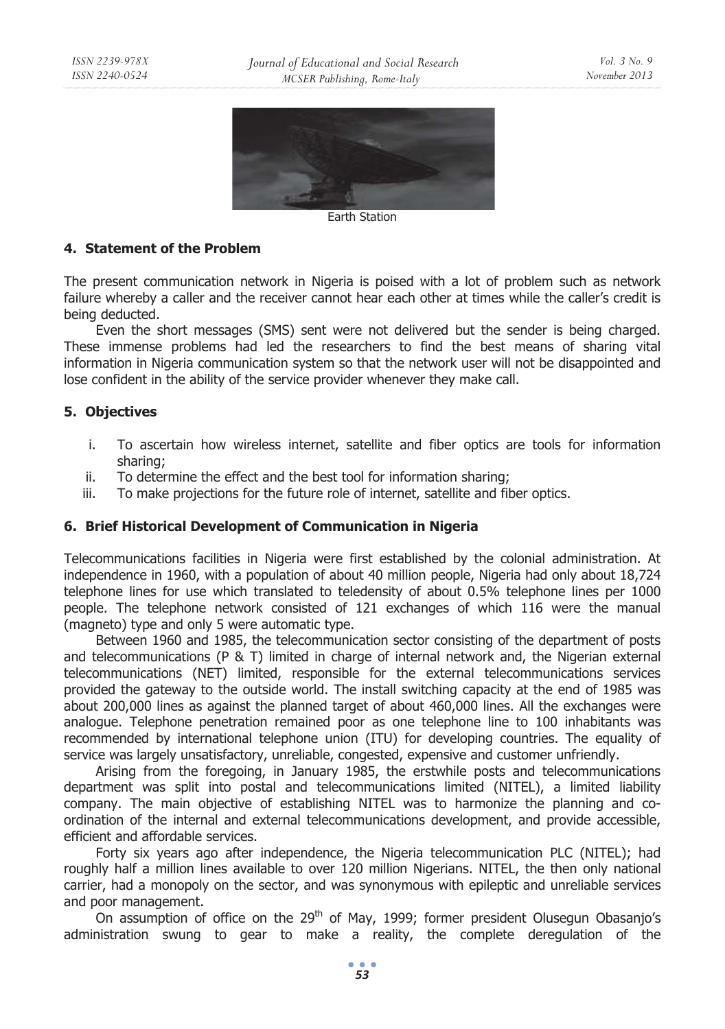

Earth Station

#### **4. Statement of the Problem**

The present communication network in Nigeria is poised with a lot of problem such as network failure whereby a caller and the receiver cannot hear each other at times while the caller's credit is being deducted.

Even the short messages (SMS) sent were not delivered but the sender is being charged. These immense problems had led the researchers to find the best means of sharing vital information in Nigeria communication system so that the network user will not be disappointed and lose confident in the ability of the service provider whenever they make call.

#### **5. Objectives**

- i. To ascertain how wireless internet, satellite and fiber optics are tools for information sharing;
- ii. To determine the effect and the best tool for information sharing;
- iii. To make projections for the future role of internet, satellite and fiber optics.

#### **6. Brief Historical Development of Communication in Nigeria**

Telecommunications facilities in Nigeria were first established by the colonial administration. At independence in 1960, with a population of about 40 million people, Nigeria had only about 18,724 telephone lines for use which translated to teledensity of about 0.5% telephone lines per 1000 people. The telephone network consisted of 121 exchanges of which 116 were the manual (magneto) type and only 5 were automatic type.

Between 1960 and 1985, the telecommunication sector consisting of the department of posts and telecommunications (P & T) limited in charge of internal network and, the Nigerian external telecommunications (NET) limited, responsible for the external telecommunications services provided the gateway to the outside world. The install switching capacity at the end of 1985 was about 200,000 lines as against the planned target of about 460,000 lines. All the exchanges were analogue. Telephone penetration remained poor as one telephone line to 100 inhabitants was recommended by international telephone union (ITU) for developing countries. The equality of service was largely unsatisfactory, unreliable, congested, expensive and customer unfriendly.

Arising from the foregoing, in January 1985, the erstwhile posts and telecommunications department was split into postal and telecommunications limited (NITEL), a limited liability company. The main objective of establishing NITEL was to harmonize the planning and coordination of the internal and external telecommunications development, and provide accessible, efficient and affordable services.

Forty six years ago after independence, the Nigeria telecommunication PLC (NITEL); had roughly half a million lines available to over 120 million Nigerians. NITEL, the then only national carrier, had a monopoly on the sector, and was synonymous with epileptic and unreliable services and poor management.

On assumption of office on the  $29<sup>th</sup>$  of May, 1999; former president Olusegun Obasanjo's administration swung to gear to make a reality, the complete deregulation of the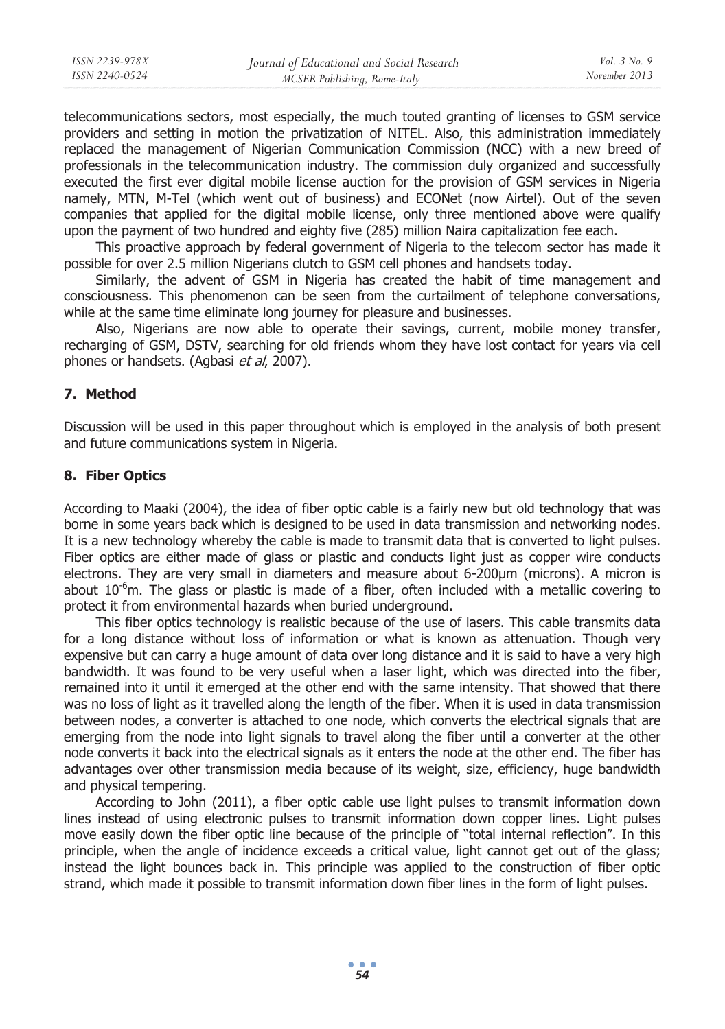| ISSN 2239-978X | Journal of Educational and Social Research | <i>Vol.</i> $3$ No. 9 |
|----------------|--------------------------------------------|-----------------------|
| ISSN 2240-0524 | MCSER Publishing, Rome-Italy               | November 2013         |
|                |                                            |                       |

telecommunications sectors, most especially, the much touted granting of licenses to GSM service providers and setting in motion the privatization of NITEL. Also, this administration immediately replaced the management of Nigerian Communication Commission (NCC) with a new breed of professionals in the telecommunication industry. The commission duly organized and successfully executed the first ever digital mobile license auction for the provision of GSM services in Nigeria namely, MTN, M-Tel (which went out of business) and ECONet (now Airtel). Out of the seven companies that applied for the digital mobile license, only three mentioned above were qualify upon the payment of two hundred and eighty five (285) million Naira capitalization fee each.

This proactive approach by federal government of Nigeria to the telecom sector has made it possible for over 2.5 million Nigerians clutch to GSM cell phones and handsets today.

Similarly, the advent of GSM in Nigeria has created the habit of time management and consciousness. This phenomenon can be seen from the curtailment of telephone conversations, while at the same time eliminate long journey for pleasure and businesses.

Also, Nigerians are now able to operate their savings, current, mobile money transfer, recharging of GSM, DSTV, searching for old friends whom they have lost contact for years via cell phones or handsets. (Agbasi et al, 2007).

#### **7. Method**

Discussion will be used in this paper throughout which is employed in the analysis of both present and future communications system in Nigeria.

#### **8. Fiber Optics**

According to Maaki (2004), the idea of fiber optic cable is a fairly new but old technology that was borne in some years back which is designed to be used in data transmission and networking nodes. It is a new technology whereby the cable is made to transmit data that is converted to light pulses. Fiber optics are either made of glass or plastic and conducts light just as copper wire conducts electrons. They are very small in diameters and measure about 6-200μm (microns). A micron is about  $10^{-6}$ m. The glass or plastic is made of a fiber, often included with a metallic covering to protect it from environmental hazards when buried underground.

This fiber optics technology is realistic because of the use of lasers. This cable transmits data for a long distance without loss of information or what is known as attenuation. Though very expensive but can carry a huge amount of data over long distance and it is said to have a very high bandwidth. It was found to be very useful when a laser light, which was directed into the fiber, remained into it until it emerged at the other end with the same intensity. That showed that there was no loss of light as it travelled along the length of the fiber. When it is used in data transmission between nodes, a converter is attached to one node, which converts the electrical signals that are emerging from the node into light signals to travel along the fiber until a converter at the other node converts it back into the electrical signals as it enters the node at the other end. The fiber has advantages over other transmission media because of its weight, size, efficiency, huge bandwidth and physical tempering.

According to John (2011), a fiber optic cable use light pulses to transmit information down lines instead of using electronic pulses to transmit information down copper lines. Light pulses move easily down the fiber optic line because of the principle of "total internal reflection". In this principle, when the angle of incidence exceeds a critical value, light cannot get out of the glass; instead the light bounces back in. This principle was applied to the construction of fiber optic strand, which made it possible to transmit information down fiber lines in the form of light pulses.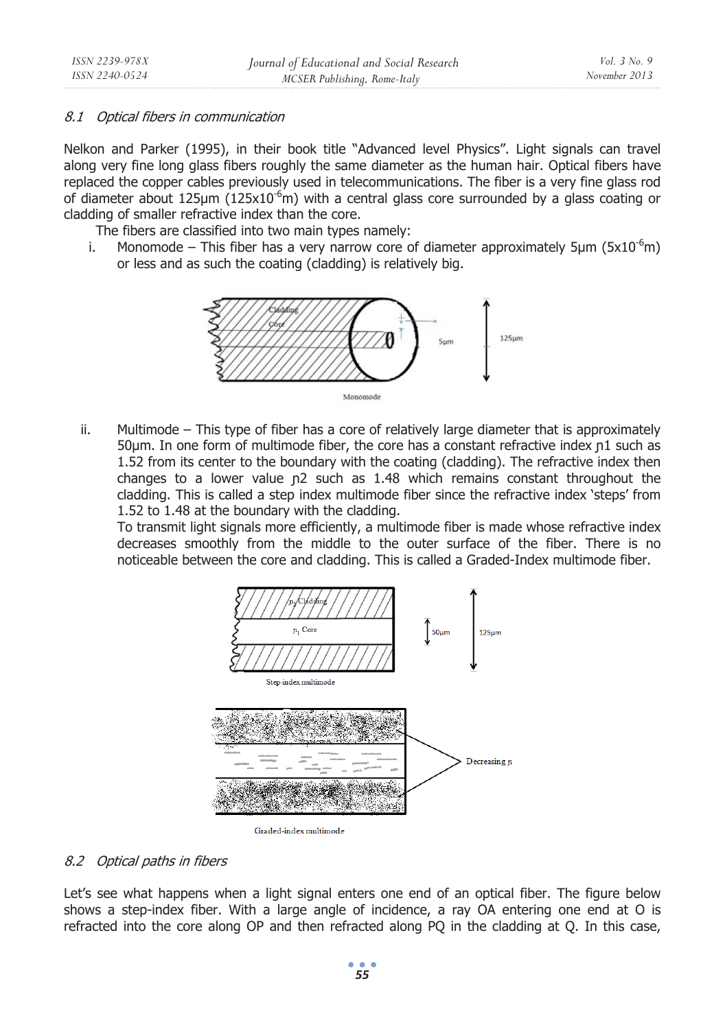## 8.1 Optical fibers in communication

Nelkon and Parker (1995), in their book title "Advanced level Physics". Light signals can travel along very fine long glass fibers roughly the same diameter as the human hair. Optical fibers have replaced the copper cables previously used in telecommunications. The fiber is a very fine glass rod of diameter about 125 $\mu$ m (125x10<sup>-6</sup>m) with a central glass core surrounded by a glass coating or cladding of smaller refractive index than the core.

The fibers are classified into two main types namely:

i. Monomode – This fiber has a very narrow core of diameter approximately 5 $\mu$ m (5x10<sup>-6</sup>m) or less and as such the coating (cladding) is relatively big.



ii. Multimode – This type of fiber has a core of relatively large diameter that is approximately 50μm. In one form of multimode fiber, the core has a constant refractive index n1 such as 1.52 from its center to the boundary with the coating (cladding). The refractive index then changes to a lower value n2 such as 1.48 which remains constant throughout the cladding. This is called a step index multimode fiber since the refractive index 'steps' from 1.52 to 1.48 at the boundary with the cladding.

To transmit light signals more efficiently, a multimode fiber is made whose refractive index decreases smoothly from the middle to the outer surface of the fiber. There is no noticeable between the core and cladding. This is called a Graded-Index multimode fiber.



Graded-index multimode

#### 8.2 Optical paths in fibers

Let's see what happens when a light signal enters one end of an optical fiber. The figure below shows a step-index fiber. With a large angle of incidence, a ray OA entering one end at O is refracted into the core along OP and then refracted along PQ in the cladding at Q. In this case,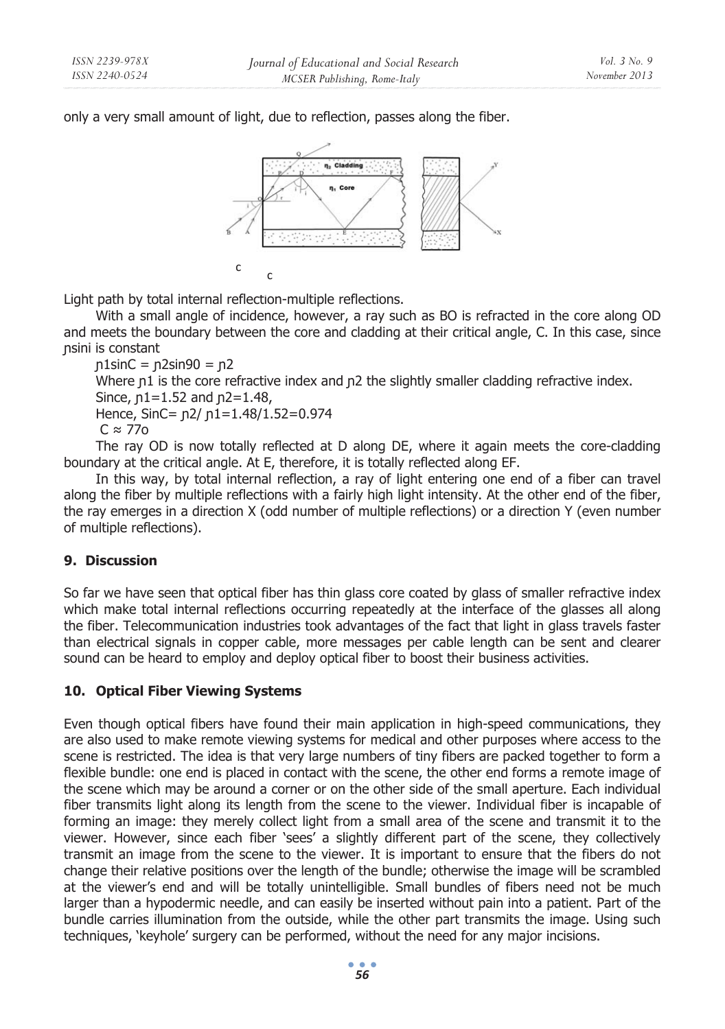only a very small amount of light, due to reflection, passes along the fiber.



Light path by total internal reflection-multiple reflections.

With a small angle of incidence, however, a ray such as BO is refracted in the core along OD and meets the boundary between the core and cladding at their critical angle, C. In this case, since nsini is constant

 $p1sinC = p2sin90 = p2$ Where  $p1$  is the core refractive index and  $p2$  the slightly smaller cladding refractive index. Since,  $p1 = 1.52$  and  $p2 = 1.48$ , Hence, SinC= n2/ n1=1.48/1.52=0.974  $C \approx 77$ o The ray OD is now totally reflected at D along DE, where it again meets the core-cladding

boundary at the critical angle. At E, therefore, it is totally reflected along EF. In this way, by total internal reflection, a ray of light entering one end of a fiber can travel along the fiber by multiple reflections with a fairly high light intensity. At the other end of the fiber, the ray emerges in a direction X (odd number of multiple reflections) or a direction Y (even number of multiple reflections).

# **9. Discussion**

So far we have seen that optical fiber has thin glass core coated by glass of smaller refractive index which make total internal reflections occurring repeatedly at the interface of the glasses all along the fiber. Telecommunication industries took advantages of the fact that light in glass travels faster than electrical signals in copper cable, more messages per cable length can be sent and clearer sound can be heard to employ and deploy optical fiber to boost their business activities.

# **10. Optical Fiber Viewing Systems**

Even though optical fibers have found their main application in high-speed communications, they are also used to make remote viewing systems for medical and other purposes where access to the scene is restricted. The idea is that very large numbers of tiny fibers are packed together to form a flexible bundle: one end is placed in contact with the scene, the other end forms a remote image of the scene which may be around a corner or on the other side of the small aperture. Each individual fiber transmits light along its length from the scene to the viewer. Individual fiber is incapable of forming an image: they merely collect light from a small area of the scene and transmit it to the viewer. However, since each fiber 'sees' a slightly different part of the scene, they collectively transmit an image from the scene to the viewer. It is important to ensure that the fibers do not change their relative positions over the length of the bundle; otherwise the image will be scrambled at the viewer's end and will be totally unintelligible. Small bundles of fibers need not be much larger than a hypodermic needle, and can easily be inserted without pain into a patient. Part of the bundle carries illumination from the outside, while the other part transmits the image. Using such techniques, 'keyhole' surgery can be performed, without the need for any major incisions.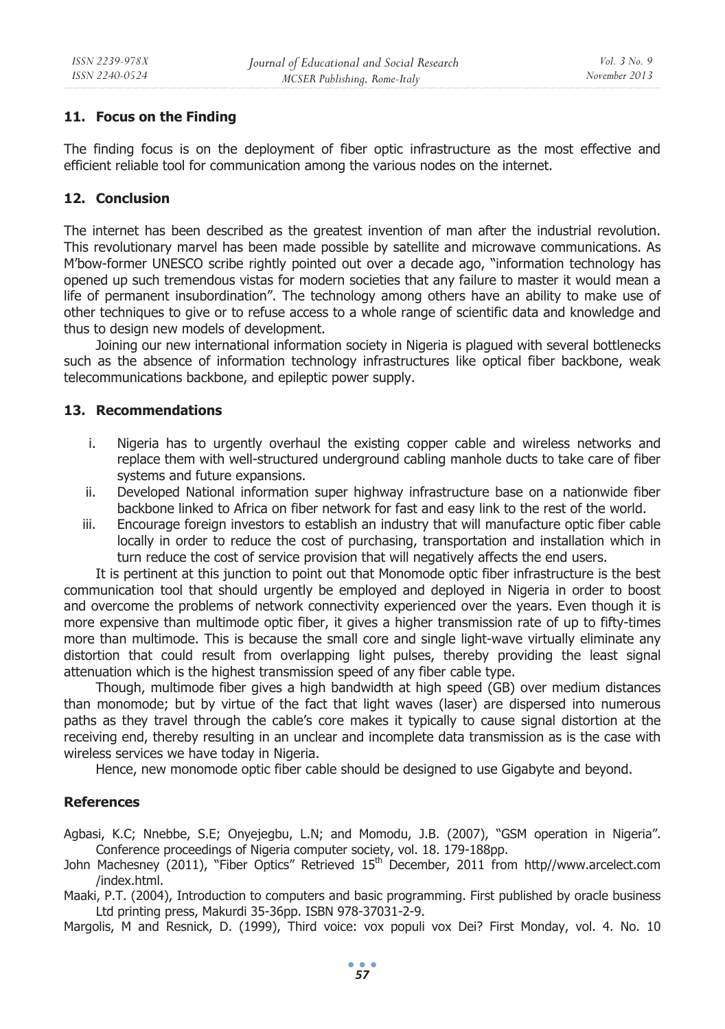# **11. Focus on the Finding**

The finding focus is on the deployment of fiber optic infrastructure as the most effective and efficient reliable tool for communication among the various nodes on the internet.

# **12. Conclusion**

The internet has been described as the greatest invention of man after the industrial revolution. This revolutionary marvel has been made possible by satellite and microwave communications. As M'bow-former UNESCO scribe rightly pointed out over a decade ago, "information technology has opened up such tremendous vistas for modern societies that any failure to master it would mean a life of permanent insubordination". The technology among others have an ability to make use of other techniques to give or to refuse access to a whole range of scientific data and knowledge and thus to design new models of development.

Joining our new international information society in Nigeria is plagued with several bottlenecks such as the absence of information technology infrastructures like optical fiber backbone, weak telecommunications backbone, and epileptic power supply.

### **13. Recommendations**

- i. Nigeria has to urgently overhaul the existing copper cable and wireless networks and replace them with well-structured underground cabling manhole ducts to take care of fiber systems and future expansions.
- ii. Developed National information super highway infrastructure base on a nationwide fiber backbone linked to Africa on fiber network for fast and easy link to the rest of the world.
- iii. Encourage foreign investors to establish an industry that will manufacture optic fiber cable locally in order to reduce the cost of purchasing, transportation and installation which in turn reduce the cost of service provision that will negatively affects the end users.

It is pertinent at this junction to point out that Monomode optic fiber infrastructure is the best communication tool that should urgently be employed and deployed in Nigeria in order to boost and overcome the problems of network connectivity experienced over the years. Even though it is more expensive than multimode optic fiber, it gives a higher transmission rate of up to fifty-times more than multimode. This is because the small core and single light-wave virtually eliminate any distortion that could result from overlapping light pulses, thereby providing the least signal attenuation which is the highest transmission speed of any fiber cable type.

Though, multimode fiber gives a high bandwidth at high speed (GB) over medium distances than monomode; but by virtue of the fact that light waves (laser) are dispersed into numerous paths as they travel through the cable's core makes it typically to cause signal distortion at the receiving end, thereby resulting in an unclear and incomplete data transmission as is the case with wireless services we have today in Nigeria.

Hence, new monomode optic fiber cable should be designed to use Gigabyte and beyond.

# **References**

Agbasi, K.C; Nnebbe, S.E; Onyejegbu, L.N; and Momodu, J.B. (2007), "GSM operation in Nigeria". Conference proceedings of Nigeria computer society, vol. 18. 179-188pp.

John Machesney (2011), "Fiber Optics" Retrieved 15th December, 2011 from http//www.arcelect.com /index.html.

Maaki, P.T. (2004), Introduction to computers and basic programming. First published by oracle business Ltd printing press, Makurdi 35-36pp. ISBN 978-37031-2-9.

Margolis, M and Resnick, D. (1999), Third voice: vox populi vox Dei? First Monday, vol. 4. No. 10